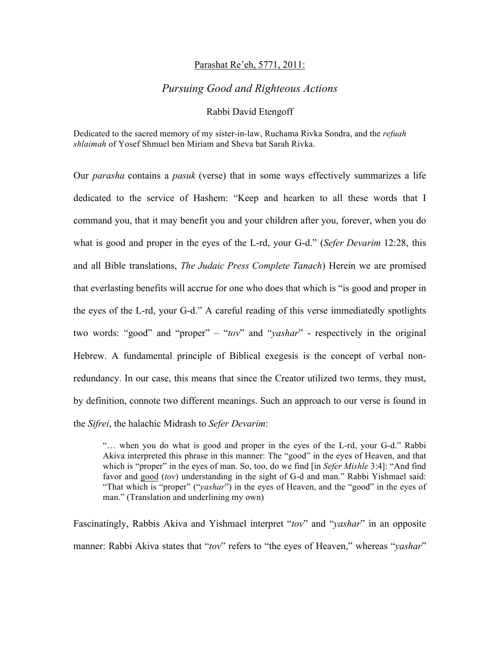### Parashat Re'eh, 5771, 2011:

# *Pursuing Good and Righteous Actions*

#### Rabbi David Etengoff

Dedicated to the sacred memory of my sister-in-law, Ruchama Rivka Sondra, and the *refuah shlaimah* of Yosef Shmuel ben Miriam and Sheva bat Sarah Rivka.

Our *parasha* contains a *pasuk* (verse) that in some ways effectively summarizes a life dedicated to the service of Hashem: "Keep and hearken to all these words that I command you, that it may benefit you and your children after you, forever, when you do what is good and proper in the eyes of the L-rd, your G-d." (*Sefer Devarim* 12:28, this and all Bible translations, *The Judaic Press Complete Tanach*) Herein we are promised that everlasting benefits will accrue for one who does that which is "is good and proper in the eyes of the L-rd, your G-d." A careful reading of this verse immediatedly spotlights two words: "good" and "proper" – "*tov*" and "*yashar*" - respectively in the original Hebrew. A fundamental principle of Biblical exegesis is the concept of verbal nonredundancy. In our case, this means that since the Creator utilized two terms, they must, by definition, connote two different meanings. Such an approach to our verse is found in the *Sifrei*, the halachic Midrash to *Sefer Devarim*:

"… when you do what is good and proper in the eyes of the L-rd, your G-d." Rabbi Akiva interpreted this phrase in this manner: The "good" in the eyes of Heaven, and that which is "proper" in the eyes of man. So, too, do we find [in *Sefer Mishle* 3:4]: "And find favor and good (*tov*) understanding in the sight of G-d and man." Rabbi Yishmael said: "That which is "proper" ("*yashar*") in the eyes of Heaven, and the "good" in the eyes of man." (Translation and underlining my own)

Fascinatingly, Rabbis Akiva and Yishmael interpret "*tov*" and "*yashar*" in an opposite manner: Rabbi Akiva states that "*tov*" refers to "the eyes of Heaven," whereas "*yashar*"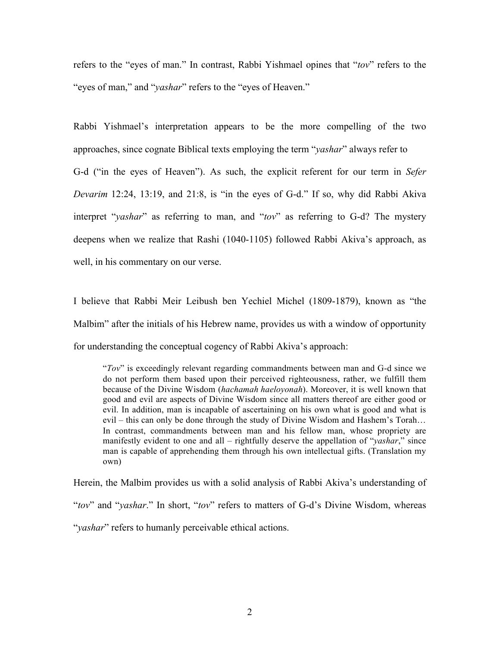refers to the "eyes of man." In contrast, Rabbi Yishmael opines that "*tov*" refers to the "eyes of man," and "*yashar*" refers to the "eyes of Heaven."

Rabbi Yishmael's interpretation appears to be the more compelling of the two approaches, since cognate Biblical texts employing the term "*yashar*" always refer to G-d ("in the eyes of Heaven"). As such, the explicit referent for our term in *Sefer Devarim* 12:24, 13:19, and 21:8, is "in the eyes of G-d." If so, why did Rabbi Akiva interpret "*yashar*" as referring to man, and "*tov*" as referring to G-d? The mystery deepens when we realize that Rashi (1040-1105) followed Rabbi Akiva's approach, as well, in his commentary on our verse.

I believe that Rabbi Meir Leibush ben Yechiel Michel (1809-1879), known as "the Malbim" after the initials of his Hebrew name, provides us with a window of opportunity for understanding the conceptual cogency of Rabbi Akiva's approach:

"*Tov*" is exceedingly relevant regarding commandments between man and G-d since we do not perform them based upon their perceived righteousness, rather, we fulfill them because of the Divine Wisdom (*hachamah haeloyonah*). Moreover, it is well known that good and evil are aspects of Divine Wisdom since all matters thereof are either good or evil. In addition, man is incapable of ascertaining on his own what is good and what is evil – this can only be done through the study of Divine Wisdom and Hashem's Torah… In contrast, commandments between man and his fellow man, whose propriety are manifestly evident to one and all – rightfully deserve the appellation of "*yashar*," since man is capable of apprehending them through his own intellectual gifts. (Translation my own)

Herein, the Malbim provides us with a solid analysis of Rabbi Akiva's understanding of "*tov*" and "*yashar*." In short, "*tov*" refers to matters of G-d's Divine Wisdom, whereas "*yashar*" refers to humanly perceivable ethical actions.